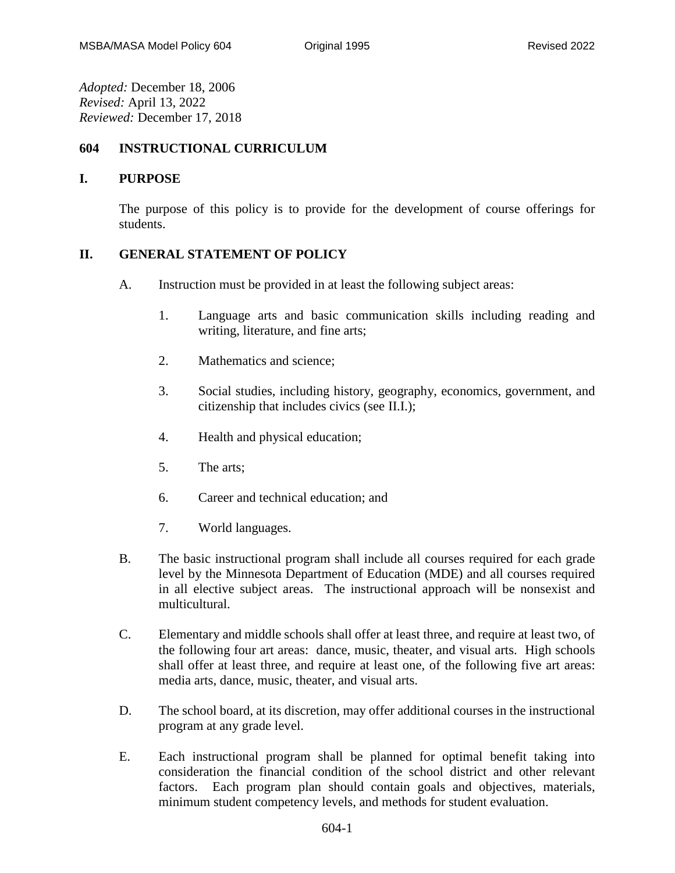*Adopted:* December 18, 2006 *Revised:* April 13, 2022 *Reviewed:* December 17, 2018

## **604 INSTRUCTIONAL CURRICULUM**

## **I. PURPOSE**

The purpose of this policy is to provide for the development of course offerings for students.

## **II. GENERAL STATEMENT OF POLICY**

- A. Instruction must be provided in at least the following subject areas:
	- 1. Language arts and basic communication skills including reading and writing, literature, and fine arts;
	- 2. Mathematics and science;
	- 3. Social studies, including history, geography, economics, government, and citizenship that includes civics (see II.I.);
	- 4. Health and physical education;
	- 5. The arts;
	- 6. Career and technical education; and
	- 7. World languages.
- B. The basic instructional program shall include all courses required for each grade level by the Minnesota Department of Education (MDE) and all courses required in all elective subject areas. The instructional approach will be nonsexist and multicultural.
- C. Elementary and middle schools shall offer at least three, and require at least two, of the following four art areas: dance, music, theater, and visual arts. High schools shall offer at least three, and require at least one, of the following five art areas: media arts, dance, music, theater, and visual arts.
- D. The school board, at its discretion, may offer additional courses in the instructional program at any grade level.
- E. Each instructional program shall be planned for optimal benefit taking into consideration the financial condition of the school district and other relevant factors. Each program plan should contain goals and objectives, materials, minimum student competency levels, and methods for student evaluation.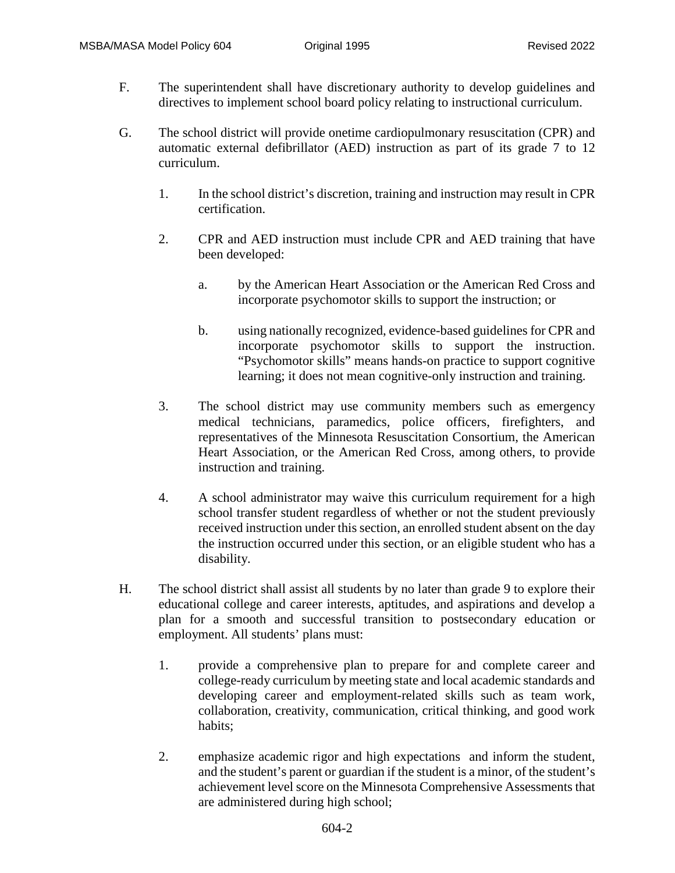- F. The superintendent shall have discretionary authority to develop guidelines and directives to implement school board policy relating to instructional curriculum.
- G. The school district will provide onetime cardiopulmonary resuscitation (CPR) and automatic external defibrillator (AED) instruction as part of its grade 7 to 12 curriculum.
	- 1. In the school district's discretion, training and instruction may result in CPR certification.
	- 2. CPR and AED instruction must include CPR and AED training that have been developed:
		- a. by the American Heart Association or the American Red Cross and incorporate psychomotor skills to support the instruction; or
		- b. using nationally recognized, evidence-based guidelines for CPR and incorporate psychomotor skills to support the instruction. "Psychomotor skills" means hands-on practice to support cognitive learning; it does not mean cognitive-only instruction and training.
	- 3. The school district may use community members such as emergency medical technicians, paramedics, police officers, firefighters, and representatives of the Minnesota Resuscitation Consortium, the American Heart Association, or the American Red Cross, among others, to provide instruction and training.
	- 4. A school administrator may waive this curriculum requirement for a high school transfer student regardless of whether or not the student previously received instruction under this section, an enrolled student absent on the day the instruction occurred under this section, or an eligible student who has a disability.
- H. The school district shall assist all students by no later than grade 9 to explore their educational college and career interests, aptitudes, and aspirations and develop a plan for a smooth and successful transition to postsecondary education or employment. All students' plans must:
	- 1. provide a comprehensive plan to prepare for and complete career and college-ready curriculum by meeting state and local academic standards and developing career and employment-related skills such as team work, collaboration, creativity, communication, critical thinking, and good work habits;
	- 2. emphasize academic rigor and high expectations and inform the student, and the student's parent or guardian if the student is a minor, of the student's achievement level score on the Minnesota Comprehensive Assessments that are administered during high school;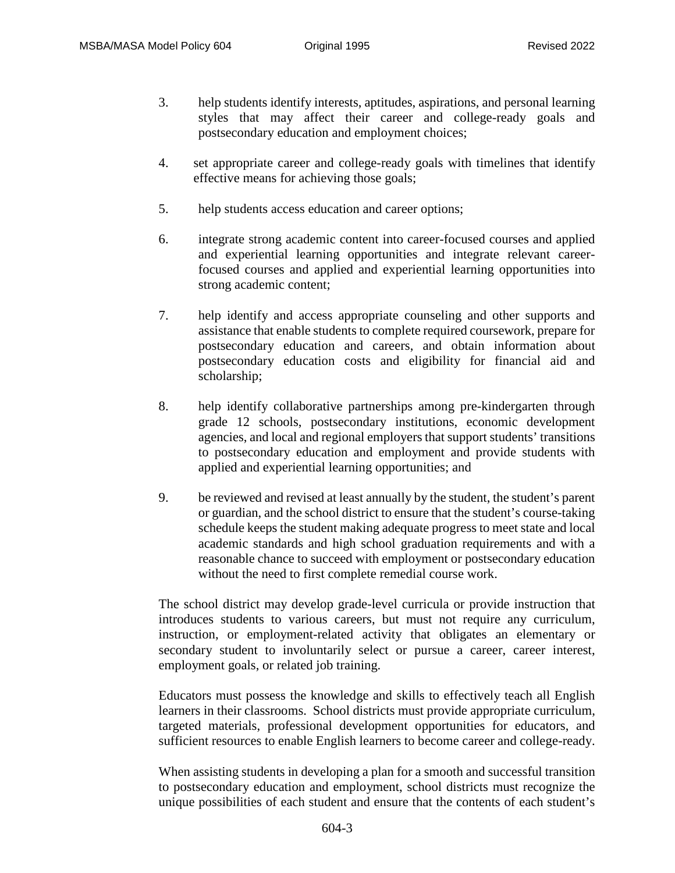- 3. help students identify interests, aptitudes, aspirations, and personal learning styles that may affect their career and college-ready goals and postsecondary education and employment choices;
- 4. set appropriate career and college-ready goals with timelines that identify effective means for achieving those goals;
- 5. help students access education and career options;
- 6. integrate strong academic content into career-focused courses and applied and experiential learning opportunities and integrate relevant careerfocused courses and applied and experiential learning opportunities into strong academic content;
- 7. help identify and access appropriate counseling and other supports and assistance that enable students to complete required coursework, prepare for postsecondary education and careers, and obtain information about postsecondary education costs and eligibility for financial aid and scholarship;
- 8. help identify collaborative partnerships among pre-kindergarten through grade 12 schools, postsecondary institutions, economic development agencies, and local and regional employers that support students' transitions to postsecondary education and employment and provide students with applied and experiential learning opportunities; and
- 9. be reviewed and revised at least annually by the student, the student's parent or guardian, and the school district to ensure that the student's course-taking schedule keeps the student making adequate progress to meet state and local academic standards and high school graduation requirements and with a reasonable chance to succeed with employment or postsecondary education without the need to first complete remedial course work.

The school district may develop grade-level curricula or provide instruction that introduces students to various careers, but must not require any curriculum, instruction, or employment-related activity that obligates an elementary or secondary student to involuntarily select or pursue a career, career interest, employment goals, or related job training.

Educators must possess the knowledge and skills to effectively teach all English learners in their classrooms. School districts must provide appropriate curriculum, targeted materials, professional development opportunities for educators, and sufficient resources to enable English learners to become career and college-ready.

When assisting students in developing a plan for a smooth and successful transition to postsecondary education and employment, school districts must recognize the unique possibilities of each student and ensure that the contents of each student's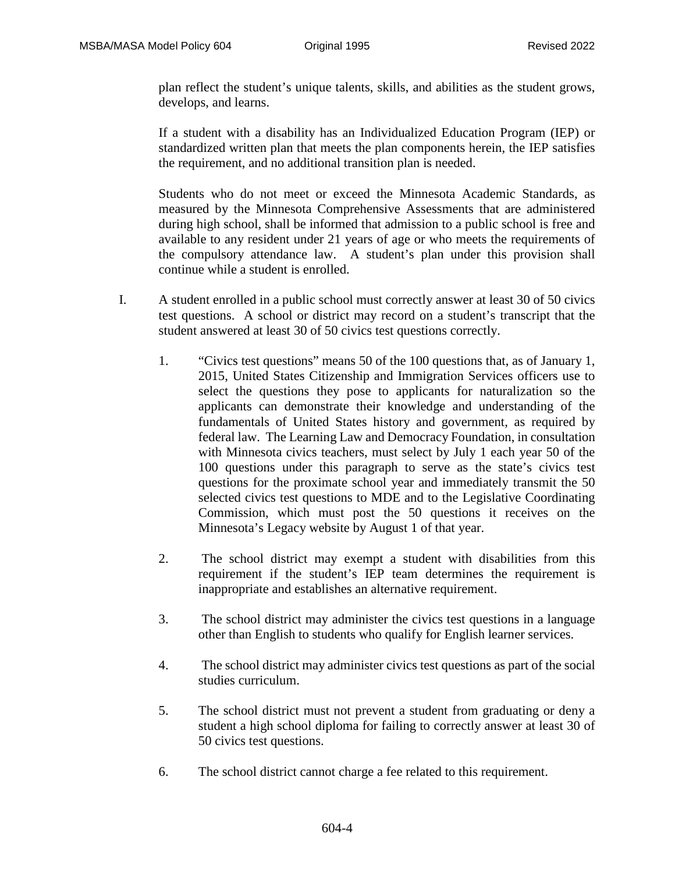plan reflect the student's unique talents, skills, and abilities as the student grows, develops, and learns.

If a student with a disability has an Individualized Education Program (IEP) or standardized written plan that meets the plan components herein, the IEP satisfies the requirement, and no additional transition plan is needed.

Students who do not meet or exceed the Minnesota Academic Standards, as measured by the Minnesota Comprehensive Assessments that are administered during high school, shall be informed that admission to a public school is free and available to any resident under 21 years of age or who meets the requirements of the compulsory attendance law. A student's plan under this provision shall continue while a student is enrolled.

- I. A student enrolled in a public school must correctly answer at least 30 of 50 civics test questions. A school or district may record on a student's transcript that the student answered at least 30 of 50 civics test questions correctly.
	- 1. "Civics test questions" means 50 of the 100 questions that, as of January 1, 2015, United States Citizenship and Immigration Services officers use to select the questions they pose to applicants for naturalization so the applicants can demonstrate their knowledge and understanding of the fundamentals of United States history and government, as required by federal law. The Learning Law and Democracy Foundation, in consultation with Minnesota civics teachers, must select by July 1 each year 50 of the 100 questions under this paragraph to serve as the state's civics test questions for the proximate school year and immediately transmit the 50 selected civics test questions to MDE and to the Legislative Coordinating Commission, which must post the 50 questions it receives on the Minnesota's Legacy website by August 1 of that year.
	- 2. The school district may exempt a student with disabilities from this requirement if the student's IEP team determines the requirement is inappropriate and establishes an alternative requirement.
	- 3. The school district may administer the civics test questions in a language other than English to students who qualify for English learner services.
	- 4. The school district may administer civics test questions as part of the social studies curriculum.
	- 5. The school district must not prevent a student from graduating or deny a student a high school diploma for failing to correctly answer at least 30 of 50 civics test questions.
	- 6. The school district cannot charge a fee related to this requirement.